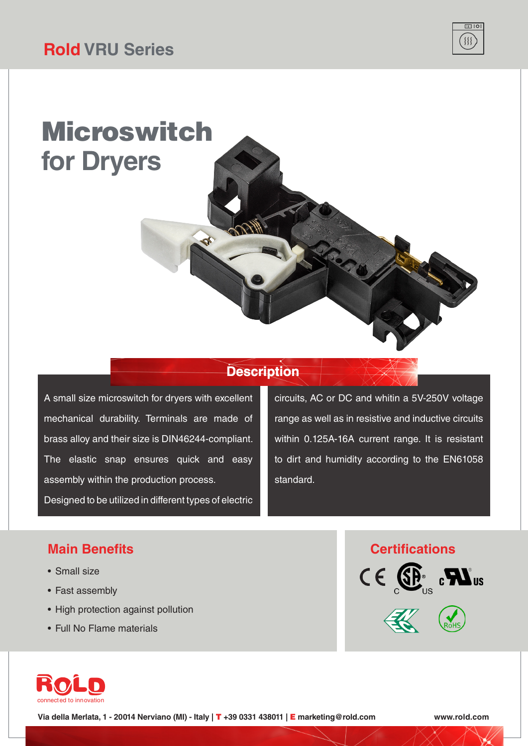# Microswitch **for Dryers**

### **Description**

A small size microswitch for dryers with excellent mechanical durability. Terminals are made of brass alloy and their size is DIN46244-compliant. The elastic snap ensures quick and easy assembly within the production process. Designed to be utilized in different types of electric

circuits, AC or DC and whitin a 5V-250V voltage range as well as in resistive and inductive circuits within 0.125A-16A current range. It is resistant to dirt and humidity according to the EN61058 standard.

#### **Main Benefits**

- Small size
- Fast assembly
- High protection against pollution
- Full No Flame materials







**Via della Merlata, 1 - 20014 Nerviano (MI) - Italy |** T **+39 0331 438011 |** E **marketing@rold.com www.rold.com**

 $\overline{\Box}$  $\{$